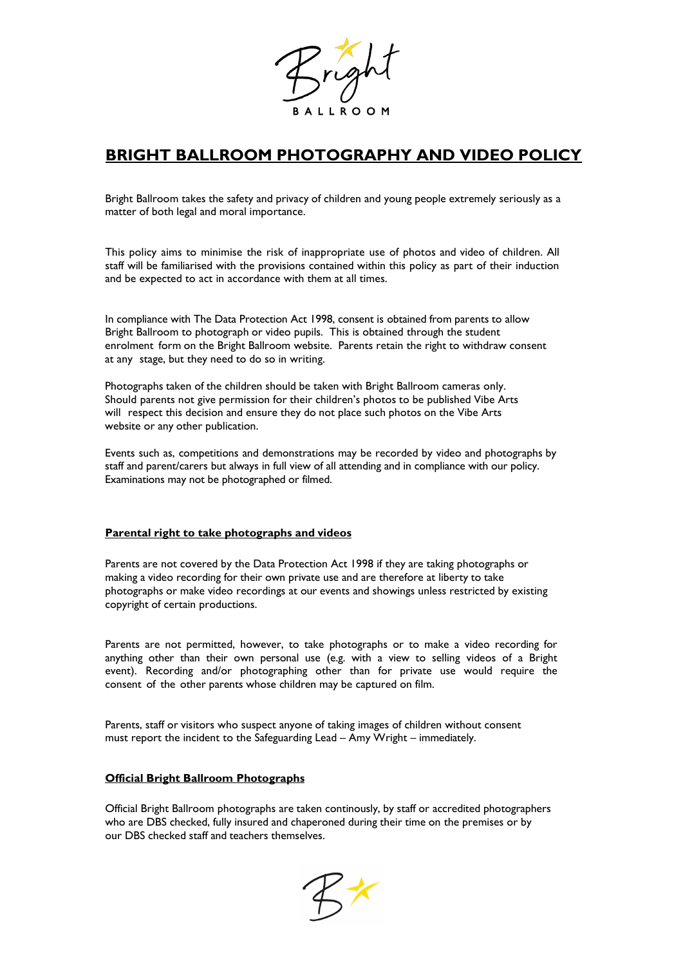

# **BRIGHT BALLROOM PHOTOGRAPHY AND VIDEO POLICY**

Bright Ballroom takes the safety and privacy of children and young people extremely seriously as a matter of both legal and moral importance.

This policy aims to minimise the risk of inappropriate use of photos and video of children. All staff will be familiarised with the provisions contained within this policy as part of their induction and be expected to act in accordance with them at all times.

In compliance with The Data Protection Act 1998, consent is obtained from parents to allow Bright Ballroom to photograph or video pupils. This is obtained through the student enrolment form on the Bright Ballroom website. Parents retain the right to withdraw consent at any stage, but they need to do so in writing.

Photographs taken of the children should be taken with Bright Ballroom cameras only. Should parents not give permission for their children's photos to be published Vibe Arts will respect this decision and ensure they do not place such photos on the Vibe Arts website or any other publication.

Events such as, competitions and demonstrations may be recorded by video and photographs by staff and parent/carers but always in full view of all attending and in compliance with our policy. Examinations may not be photographed or filmed.

## **Parental right to take photographs and videos**

Parents are not covered by the Data Protection Act 1998 if they are taking photographs or making a video recording for their own private use and are therefore at liberty to take photographs or make video recordings at our events and showings unless restricted by existing copyright of certain productions.

Parents are not permitted, however, to take photographs or to make a video recording for anything other than their own personal use (e.g. with a view to selling videos of a Bright event). Recording and/or photographing other than for private use would require the consent of the other parents whose children may be captured on film.

Parents, staff or visitors who suspect anyone of taking images of children without consent must report the incident to the Safeguarding Lead – Amy Wright – immediately.

## **Official Bright Ballroom Photographs**

Official Bright Ballroom photographs are taken continously, by staff or accredited photographers who are DBS checked, fully insured and chaperoned during their time on the premises or by our DBS checked staff and teachers themselves.